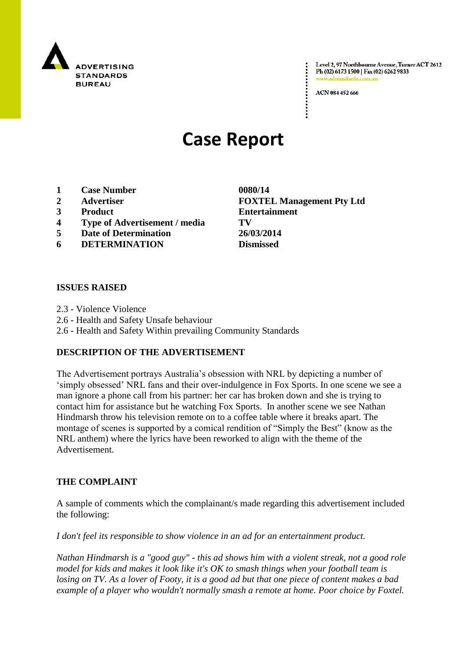

Level 2, 97 Northbourne Avenue, Turner ACT 2612 Ph (02) 6173 1500 | Fax (02) 6262 9833 www.adstandards.com.a

ACN 084 452 666

# **Case Report**

- **1 Case Number 0080/14**
- 
- 
- **4 Type of Advertisement / media TV**
- **5 Date of Determination 26/03/2014**
- **6 DETERMINATION Dismissed**

### **ISSUES RAISED**

- 2.3 Violence Violence
- 2.6 Health and Safety Unsafe behaviour
- 2.6 Health and Safety Within prevailing Community Standards

#### **DESCRIPTION OF THE ADVERTISEMENT**

The Advertisement portrays Australia"s obsession with NRL by depicting a number of "simply obsessed" NRL fans and their over-indulgence in Fox Sports. In one scene we see a man ignore a phone call from his partner: her car has broken down and she is trying to contact him for assistance but he watching Fox Sports. In another scene we see Nathan Hindmarsh throw his television remote on to a coffee table where it breaks apart. The montage of scenes is supported by a comical rendition of "Simply the Best" (know as the NRL anthem) where the lyrics have been reworked to align with the theme of the Advertisement.

#### **THE COMPLAINT**

A sample of comments which the complainant/s made regarding this advertisement included the following:

*I don't feel its responsible to show violence in an ad for an entertainment product.*

*Nathan Hindmarsh is a "good guy" - this ad shows him with a violent streak, not a good role model for kids and makes it look like it's OK to smash things when your football team is losing on TV. As a lover of Footy, it is a good ad but that one piece of content makes a bad example of a player who wouldn't normally smash a remote at home. Poor choice by Foxtel.*

**2 Advertiser FOXTEL Management Pty Ltd 3 Product Entertainment**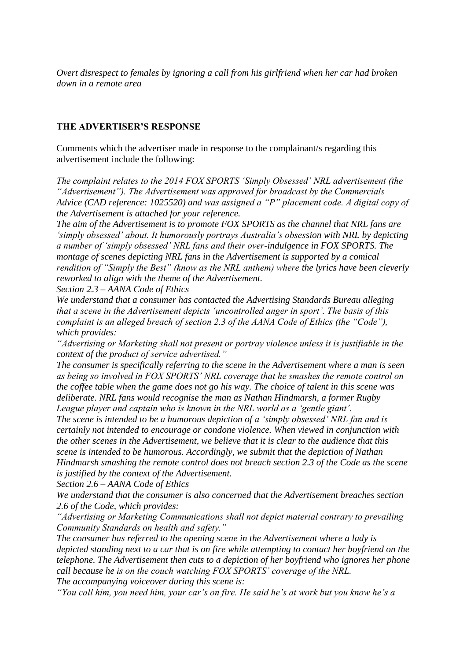*Overt disrespect to females by ignoring a call from his girlfriend when her car had broken down in a remote area*

#### **THE ADVERTISER'S RESPONSE**

Comments which the advertiser made in response to the complainant/s regarding this advertisement include the following:

*The complaint relates to the 2014 FOX SPORTS "Simply Obsessed" NRL advertisement (the "Advertisement"). The Advertisement was approved for broadcast by the Commercials Advice (CAD reference: 1025520) and was assigned a "P" placement code. A digital copy of the Advertisement is attached for your reference.*

*The aim of the Advertisement is to promote FOX SPORTS as the channel that NRL fans are "simply obsessed" about. It humorously portrays Australia"s obsession with NRL by depicting a number of "simply obsessed" NRL fans and their over-indulgence in FOX SPORTS. The montage of scenes depicting NRL fans in the Advertisement is supported by a comical rendition of "Simply the Best" (know as the NRL anthem) where the lyrics have been cleverly reworked to align with the theme of the Advertisement.*

*Section 2.3 – AANA Code of Ethics*

*We understand that a consumer has contacted the Advertising Standards Bureau alleging that a scene in the Advertisement depicts "uncontrolled anger in sport". The basis of this complaint is an alleged breach of section 2.3 of the AANA Code of Ethics (the "Code"), which provides:*

*"Advertising or Marketing shall not present or portray violence unless it is justifiable in the context of the product of service advertised."*

*The consumer is specifically referring to the scene in the Advertisement where a man is seen as being so involved in FOX SPORTS" NRL coverage that he smashes the remote control on the coffee table when the game does not go his way. The choice of talent in this scene was deliberate. NRL fans would recognise the man as Nathan Hindmarsh, a former Rugby League player and captain who is known in the NRL world as a "gentle giant".*

*The scene is intended to be a humorous depiction of a "simply obsessed" NRL fan and is certainly not intended to encourage or condone violence. When viewed in conjunction with the other scenes in the Advertisement, we believe that it is clear to the audience that this scene is intended to be humorous. Accordingly, we submit that the depiction of Nathan Hindmarsh smashing the remote control does not breach section 2.3 of the Code as the scene is justified by the context of the Advertisement.*

*Section 2.6 – AANA Code of Ethics*

*We understand that the consumer is also concerned that the Advertisement breaches section 2.6 of the Code, which provides:*

*"Advertising or Marketing Communications shall not depict material contrary to prevailing Community Standards on health and safety."*

*The consumer has referred to the opening scene in the Advertisement where a lady is depicted standing next to a car that is on fire while attempting to contact her boyfriend on the telephone. The Advertisement then cuts to a depiction of her boyfriend who ignores her phone call because he is on the couch watching FOX SPORTS" coverage of the NRL.*

*The accompanying voiceover during this scene is:*

*"You call him, you need him, your car"s on fire. He said he"s at work but you know he"s a*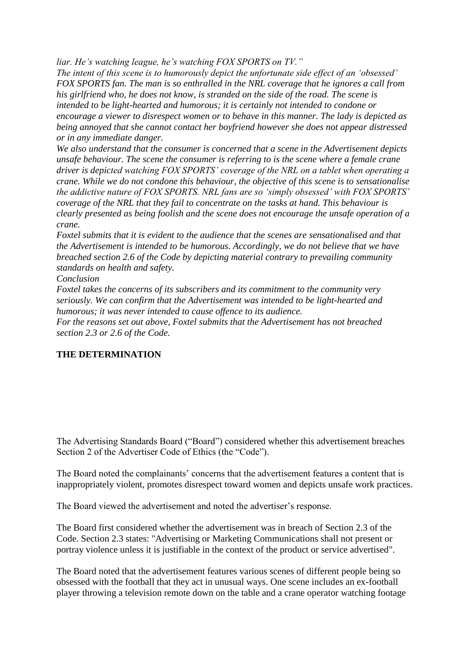*liar. He"s watching league, he"s watching FOX SPORTS on TV."*

*The intent of this scene is to humorously depict the unfortunate side effect of an "obsessed" FOX SPORTS fan. The man is so enthralled in the NRL coverage that he ignores a call from his girlfriend who, he does not know, is stranded on the side of the road. The scene is intended to be light-hearted and humorous; it is certainly not intended to condone or encourage a viewer to disrespect women or to behave in this manner. The lady is depicted as being annoyed that she cannot contact her boyfriend however she does not appear distressed or in any immediate danger.*

*We also understand that the consumer is concerned that a scene in the Advertisement depicts unsafe behaviour. The scene the consumer is referring to is the scene where a female crane driver is depicted watching FOX SPORTS" coverage of the NRL on a tablet when operating a crane. While we do not condone this behaviour, the objective of this scene is to sensationalise the addictive nature of FOX SPORTS. NRL fans are so "simply obsessed" with FOX SPORTS" coverage of the NRL that they fail to concentrate on the tasks at hand. This behaviour is clearly presented as being foolish and the scene does not encourage the unsafe operation of a crane.*

*Foxtel submits that it is evident to the audience that the scenes are sensationalised and that the Advertisement is intended to be humorous. Accordingly, we do not believe that we have breached section 2.6 of the Code by depicting material contrary to prevailing community standards on health and safety.*

*Conclusion*

*Foxtel takes the concerns of its subscribers and its commitment to the community very seriously. We can confirm that the Advertisement was intended to be light-hearted and humorous; it was never intended to cause offence to its audience.*

*For the reasons set out above, Foxtel submits that the Advertisement has not breached section 2.3 or 2.6 of the Code.*

## **THE DETERMINATION**

The Advertising Standards Board ("Board") considered whether this advertisement breaches Section 2 of the Advertiser Code of Ethics (the "Code").

The Board noted the complainants' concerns that the advertisement features a content that is inappropriately violent, promotes disrespect toward women and depicts unsafe work practices.

The Board viewed the advertisement and noted the advertiser"s response.

The Board first considered whether the advertisement was in breach of Section 2.3 of the Code. Section 2.3 states: "Advertising or Marketing Communications shall not present or portray violence unless it is justifiable in the context of the product or service advertised".

The Board noted that the advertisement features various scenes of different people being so obsessed with the football that they act in unusual ways. One scene includes an ex-football player throwing a television remote down on the table and a crane operator watching footage